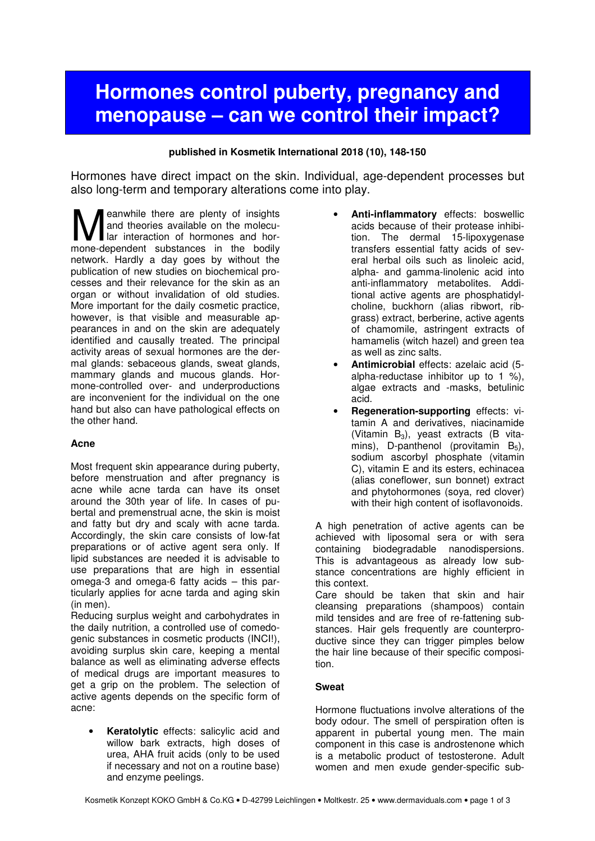# **Hormones control puberty, pregnancy and menopause – can we control their impact?**

## **published in Kosmetik International 2018 (10), 148-150**

Hormones have direct impact on the skin. Individual, age-dependent processes but also long-term and temporary alterations come into play.

eanwhile there are plenty of insights and theories available on the molecular interaction of hormones and hor-**M** eanwhile there are plenty of insights<br>and theories available on the molecu-<br>mone-dependent substances in the bodily network. Hardly a day goes by without the publication of new studies on biochemical processes and their relevance for the skin as an organ or without invalidation of old studies. More important for the daily cosmetic practice, however, is that visible and measurable appearances in and on the skin are adequately identified and causally treated. The principal activity areas of sexual hormones are the dermal glands: sebaceous glands, sweat glands, mammary glands and mucous glands. Hormone-controlled over- and underproductions are inconvenient for the individual on the one hand but also can have pathological effects on the other hand.

# **Acne**

Most frequent skin appearance during puberty, before menstruation and after pregnancy is acne while acne tarda can have its onset around the 30th year of life. In cases of pubertal and premenstrual acne, the skin is moist and fatty but dry and scaly with acne tarda. Accordingly, the skin care consists of low-fat preparations or of active agent sera only. If lipid substances are needed it is advisable to use preparations that are high in essential omega-3 and omega-6 fatty acids – this particularly applies for acne tarda and aging skin (in men).

Reducing surplus weight and carbohydrates in the daily nutrition, a controlled use of comedogenic substances in cosmetic products (INCI!), avoiding surplus skin care, keeping a mental balance as well as eliminating adverse effects of medical drugs are important measures to get a grip on the problem. The selection of active agents depends on the specific form of acne:

**Keratolytic** effects: salicylic acid and willow bark extracts, high doses of urea, AHA fruit acids (only to be used if necessary and not on a routine base) and enzyme peelings.

- **Anti-inflammatory** effects: boswellic acids because of their protease inhibition. The dermal 15-lipoxygenase transfers essential fatty acids of several herbal oils such as linoleic acid, alpha- and gamma-linolenic acid into anti-inflammatory metabolites. Additional active agents are phosphatidylcholine, buckhorn (alias ribwort, ribgrass) extract, berberine, active agents of chamomile, astringent extracts of hamamelis (witch hazel) and green tea as well as zinc salts.
- **Antimicrobial** effects: azelaic acid (5 alpha-reductase inhibitor up to 1 %), algae extracts and -masks, betulinic acid.
- **Regeneration-supporting** effects: vitamin A and derivatives, niacinamide (Vitamin  $B_3$ ), veast extracts (B vitamins), D-panthenol (provitamin  $B_5$ ), sodium ascorbyl phosphate (vitamin C), vitamin E and its esters, echinacea (alias coneflower, sun bonnet) extract and phytohormones (soya, red clover) with their high content of isoflavonoids.

A high penetration of active agents can be achieved with liposomal sera or with sera containing biodegradable nanodispersions. This is advantageous as already low substance concentrations are highly efficient in this context.

Care should be taken that skin and hair cleansing preparations (shampoos) contain mild tensides and are free of re-fattening substances. Hair gels frequently are counterproductive since they can trigger pimples below the hair line because of their specific composition.

### **Sweat**

Hormone fluctuations involve alterations of the body odour. The smell of perspiration often is apparent in pubertal young men. The main component in this case is androstenone which is a metabolic product of testosterone. Adult women and men exude gender-specific sub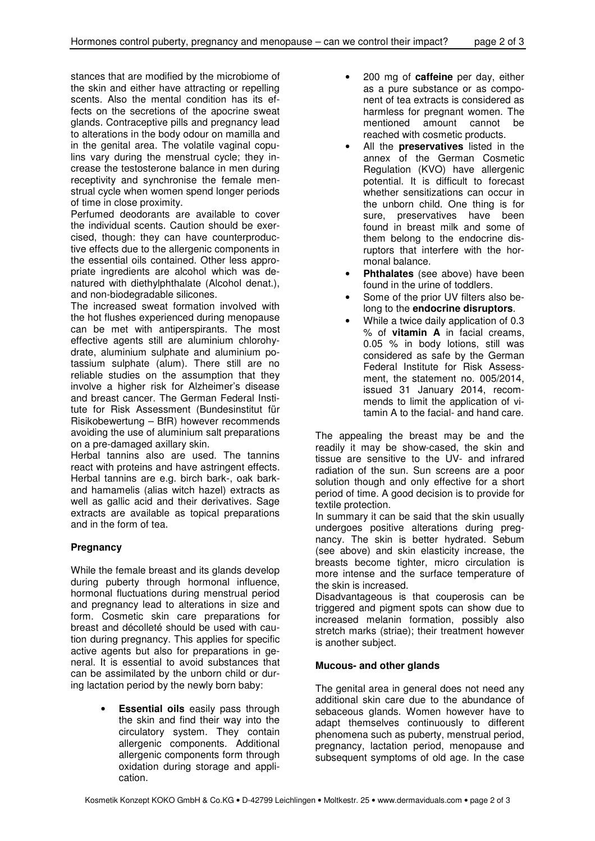stances that are modified by the microbiome of the skin and either have attracting or repelling scents. Also the mental condition has its effects on the secretions of the apocrine sweat glands. Contraceptive pills and pregnancy lead to alterations in the body odour on mamilla and in the genital area. The volatile vaginal copulins vary during the menstrual cycle; they increase the testosterone balance in men during receptivity and synchronise the female menstrual cycle when women spend longer periods of time in close proximity.

Perfumed deodorants are available to cover the individual scents. Caution should be exercised, though: they can have counterproductive effects due to the allergenic components in the essential oils contained. Other less appropriate ingredients are alcohol which was denatured with diethylphthalate (Alcohol denat.), and non-biodegradable silicones.

The increased sweat formation involved with the hot flushes experienced during menopause can be met with antiperspirants. The most effective agents still are aluminium chlorohydrate, aluminium sulphate and aluminium potassium sulphate (alum). There still are no reliable studies on the assumption that they involve a higher risk for Alzheimer's disease and breast cancer. The German Federal Institute for Risk Assessment (Bundesinstitut für Risikobewertung – BfR) however recommends avoiding the use of aluminium salt preparations on a pre-damaged axillary skin.

Herbal tannins also are used. The tannins react with proteins and have astringent effects. Herbal tannins are e.g. birch bark-, oak barkand hamamelis (alias witch hazel) extracts as well as gallic acid and their derivatives. Sage extracts are available as topical preparations and in the form of tea.

# **Pregnancy**

While the female breast and its glands develop during puberty through hormonal influence, hormonal fluctuations during menstrual period and pregnancy lead to alterations in size and form. Cosmetic skin care preparations for breast and décolleté should be used with caution during pregnancy. This applies for specific active agents but also for preparations in general. It is essential to avoid substances that can be assimilated by the unborn child or during lactation period by the newly born baby:

> **Essential oils** easily pass through the skin and find their way into the circulatory system. They contain allergenic components. Additional allergenic components form through oxidation during storage and application.

- 200 mg of **caffeine** per day, either as a pure substance or as component of tea extracts is considered as harmless for pregnant women. The mentioned amount cannot be reached with cosmetic products.
- All the **preservatives** listed in the annex of the German Cosmetic Regulation (KVO) have allergenic potential. It is difficult to forecast whether sensitizations can occur in the unborn child. One thing is for sure, preservatives have been found in breast milk and some of them belong to the endocrine disruptors that interfere with the hormonal balance.
- **Phthalates** (see above) have been found in the urine of toddlers.
- Some of the prior UV filters also belong to the **endocrine disruptors**.
- While a twice daily application of 0.3 % of **vitamin A** in facial creams, 0.05 % in body lotions, still was considered as safe by the German Federal Institute for Risk Assessment, the statement no. 005/2014, issued 31 January 2014, recommends to limit the application of vitamin A to the facial- and hand care.

The appealing the breast may be and the readily it may be show-cased, the skin and tissue are sensitive to the UV- and infrared radiation of the sun. Sun screens are a poor solution though and only effective for a short period of time. A good decision is to provide for textile protection.

In summary it can be said that the skin usually undergoes positive alterations during pregnancy. The skin is better hydrated. Sebum (see above) and skin elasticity increase, the breasts become tighter, micro circulation is more intense and the surface temperature of the skin is increased.

Disadvantageous is that couperosis can be triggered and pigment spots can show due to increased melanin formation, possibly also stretch marks (striae); their treatment however is another subject.

# **Mucous- and other glands**

The genital area in general does not need any additional skin care due to the abundance of sebaceous glands. Women however have to adapt themselves continuously to different phenomena such as puberty, menstrual period, pregnancy, lactation period, menopause and subsequent symptoms of old age. In the case